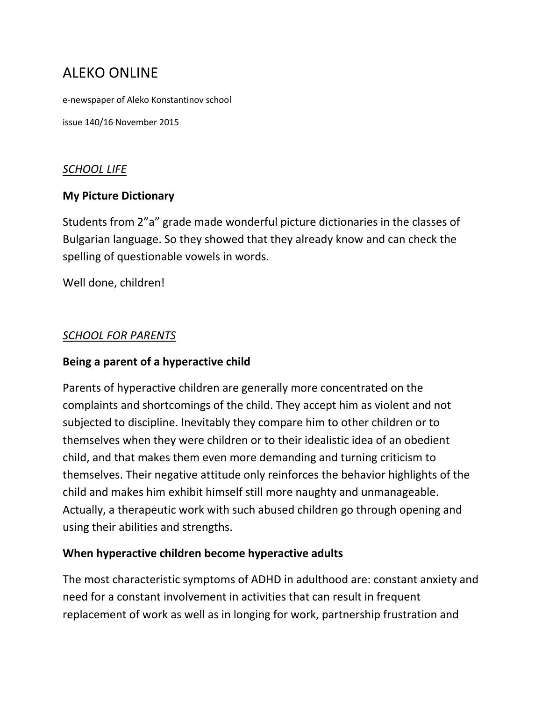# ALEKO ONLINE

e-newspaper of Aleko Konstantinov school

issue 140/16 November 2015

#### *SCHOOL LIFE*

#### **My Picture Dictionary**

Students from 2"a" grade made wonderful picture dictionaries in the classes of Bulgarian language. So they showed that they already know and can check the spelling of questionable vowels in words.

Well done, children!

#### *SCHOOL FOR PARENTS*

#### **Being a parent of a hyperactive child**

Parents of hyperactive children are generally more concentrated on the complaints and shortcomings of the child. They accept him as violent and not subjected to discipline. Inevitably they compare him to other children or to themselves when they were children or to their idealistic idea of an obedient child, and that makes them even more demanding and turning criticism to themselves. Their negative attitude only reinforces the behavior highlights of the child and makes him exhibit himself still more naughty and unmanageable. Actually, a therapeutic work with such abused children go through opening and using their abilities and strengths.

#### **When hyperactive children become hyperactive adults**

The most characteristic symptoms of ADHD in adulthood are: constant anxiety and need for a constant involvement in activities that can result in frequent replacement of work as well as in longing for work, partnership frustration and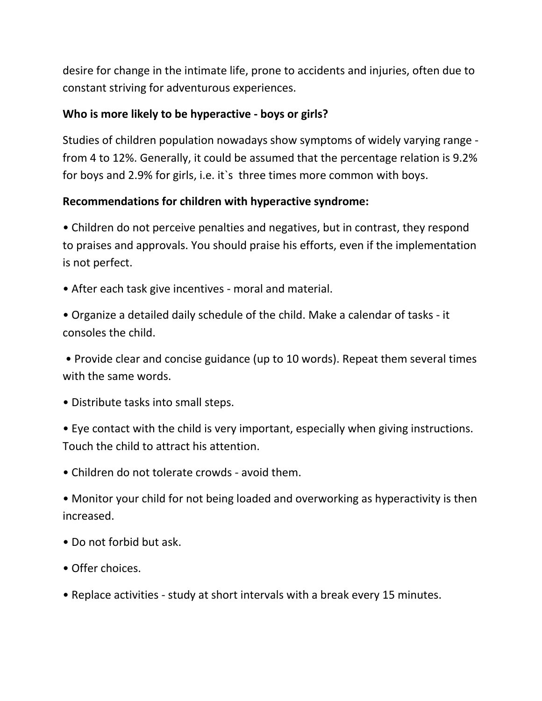desire for change in the intimate life, prone to accidents and injuries, often due to constant striving for adventurous experiences.

#### **Who is more likely to be hyperactive - boys or girls?**

Studies of children population nowadays show symptoms of widely varying range from 4 to 12%. Generally, it could be assumed that the percentage relation is 9.2% for boys and 2.9% for girls, i.e. it sthree times more common with boys.

### **Recommendations for children with hyperactive syndrome:**

• Children do not perceive penalties and negatives, but in contrast, they respond to praises and approvals. You should praise his efforts, even if the implementation is not perfect.

• After each task give incentives - moral and material.

• Organize a detailed daily schedule of the child. Make a calendar of tasks - it consoles the child.

• Provide clear and concise guidance (up to 10 words). Repeat them several times with the same words.

• Distribute tasks into small steps.

• Eye contact with the child is very important, especially when giving instructions. Touch the child to attract his attention.

• Children do not tolerate crowds - avoid them.

• Monitor your child for not being loaded and overworking as hyperactivity is then increased.

- Do not forbid but ask.
- Offer choices.
- Replace activities study at short intervals with a break every 15 minutes.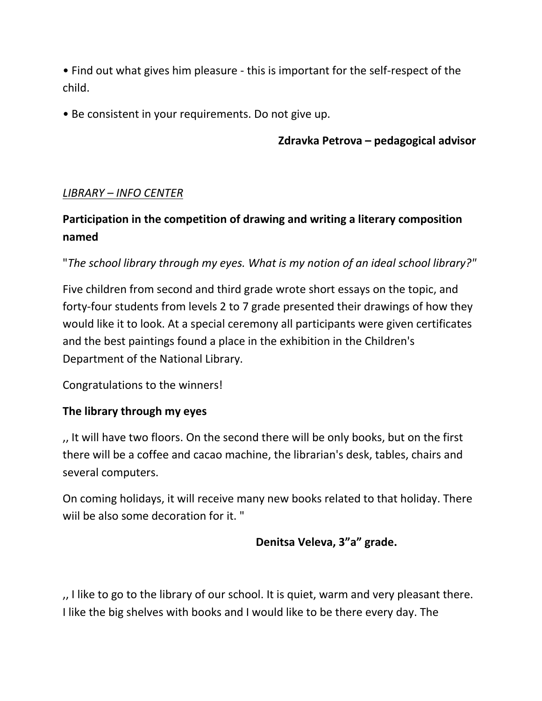• Find out what gives him pleasure - this is important for the self-respect of the child.

• Be consistent in your requirements. Do not give up.

 **Zdravka Petrova – pedagogical advisor**

#### *LIBRARY – INFO CENTER*

## **Participation in the competition of drawing and writing a literary composition named**

"*The school library through my eyes. What is my notion of an ideal school library?"*

Five children from second and third grade wrote short essays on the topic, and forty-four students from levels 2 to 7 grade presented their drawings of how they would like it to look. At a special ceremony all participants were given certificates and the best paintings found a place in the exhibition in the Children's Department of the National Library.

Congratulations to the winners!

#### **The library through my eyes**

,, It will have two floors. On the second there will be only books, but on the first there will be a coffee and cacao machine, the librarian's desk, tables, chairs and several computers.

On coming holidays, it will receive many new books related to that holiday. There wiil be also some decoration for it. "

#### **Denitsa Veleva, 3"a" grade.**

,, I like to go to the library of our school. It is quiet, warm and very pleasant there. I like the big shelves with books and I would like to be there every day. The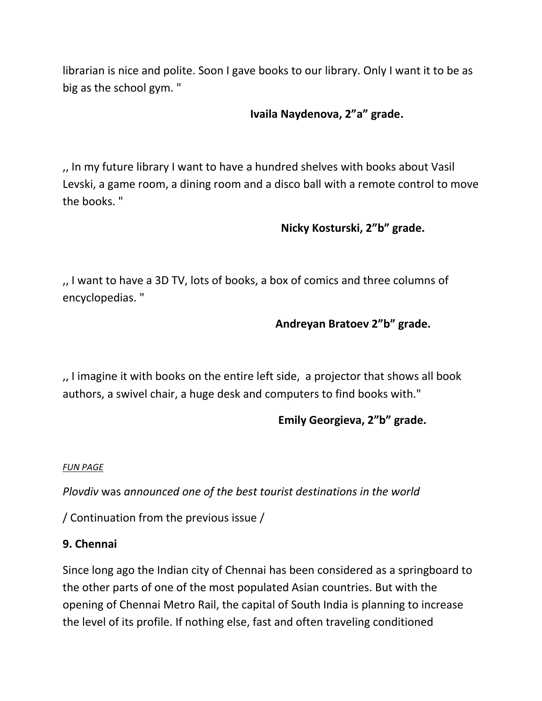librarian is nice and polite. Soon I gave books to our library. Only I want it to be as big as the school gym. "

## **Ivaila Naydenova, 2"a" grade.**

,, In my future library I want to have a hundred shelves with books about Vasil Levski, a game room, a dining room and a disco ball with a remote control to move the books. "

#### **Nicky Kosturski, 2"b" grade.**

,, I want to have a 3D TV, lots of books, a box of comics and three columns of encyclopedias. "

#### **Andreyan Bratoev 2"b" grade.**

,, I imagine it with books on the entire left side, a projector that shows all book authors, a swivel chair, a huge desk and computers to find books with."

## **Emily Georgieva, 2"b" grade.**

#### *FUN PAGE*

*Plovdiv* was *announced one of the best tourist destinations in the world*

/ Continuation from the previous issue /

#### **9. Chennai**

Since long ago the Indian city of Chennai has been considered as a springboard to the other parts of one of the most populated Asian countries. But with the opening of Chennai Metro Rail, the capital of South India is planning to increase the level of its profile. If nothing else, fast and often traveling conditioned